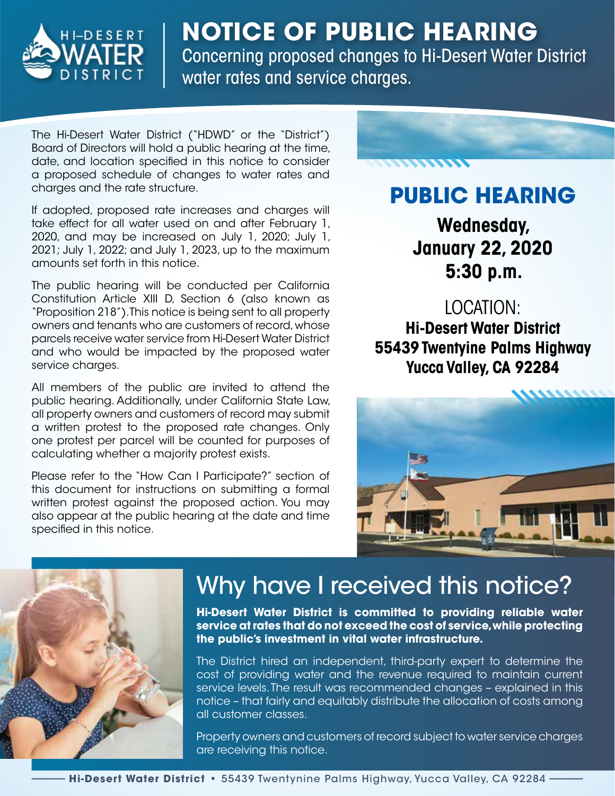

#### **NOTICE OF PUBLIC HEARING** Concerning proposed changes to Hi-Desert Water District water rates and service charges.

The Hi-Desert Water District ("HDWD" or the "District") Board of Directors will hold a public hearing at the time, date, and location specifed in this notice to consider a proposed schedule of changes to water rates and charges and the rate structure.

If adopted, proposed rate increases and charges will take effect for all water used on and after February 1, 2020, and may be increased on July 1, 2020; July 1, 2021; July 1, 2022; and July 1, 2023, up to the maximum amounts set forth in this notice.

The public hearing will be conducted per California Constitution Article XIII D, Section 6 (also known as "Proposition 218"). This notice is being sent to all property owners and tenants who are customers of record, whose parcels receive water service from Hi-Desert Water District and who would be impacted by the proposed water service charges.

All members of the public are invited to attend the public hearing. Additionally, under California State Law, all property owners and customers of record may submit a written protest to the proposed rate changes. Only one protest per parcel will be counted for purposes of calculating whether a majority protest exists.

Please refer to the "How Can I Participate?" section of this document for instructions on submitting a formal written protest against the proposed action. You may also appear at the public hearing at the date and time specifed in this notice.



## **PUBLIC HEARING**

**Wednesday, January 22, 2020 5:30 p.m.**

#### LOCATION:

**Hi-Desert Water District 55439 Twentyine Palms Highway Yucca Valley, CA 92284**





# Why have I received this notice?

**Hi-Desert Water District is committed to providing reliable water service at rates that do not exceed the cost of service, while protecting the public's investment in vital water infrastructure.**

The District hired an independent, third-party expert to determine the cost of providing water and the revenue required to maintain current service levels. The result was recommended changes – explained in this notice – that fairly and equitably distribute the allocation of costs among all customer classes.

Property owners and customers of record subject to water service charges are receiving this notice.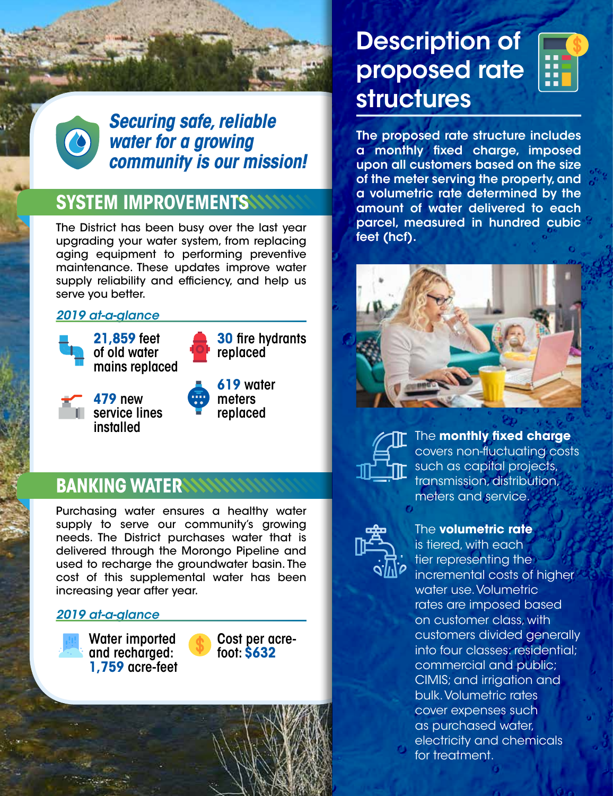

*Securing safe, reliable water for a growing community is our mission!*

### **SYSTEM IMPROVEMENTS**

The District has been busy over the last year upgrading your water system, from replacing aging equipment to performing preventive maintenance. These updates improve water supply reliability and efficiency, and help us serve you better.

#### *2019 at-a-glance*



**21,859** feet of old water mains replaced

**30** fre hydrants replaced



**479** new service lines installed



### **BANKING WATER**

Purchasing water ensures a healthy water supply to serve our community's growing needs. The District purchases water that is delivered through the Morongo Pipeline and used to recharge the groundwater basin. The cost of this supplemental water has been increasing year after year.

#### *2019 at-a-glance*

Water imported and recharged: **1,759** acre-feet



## Description of proposed rate structures



The proposed rate structure includes a monthly fxed charge, imposed upon all customers based on the size of the meter serving the property, and a volumetric rate determined by the amount of water delivered to each parcel, measured in hundred cubic feet (hcf).





The **monthly fxed charge** covers non-fuctuating costs such as capital projects, transmission, distribution, meters and service.



#### The **volumetric rate**

is tiered, with each tier representing the incremental costs of higher water use. Volumetric rates are imposed based on customer class, with customers divided generally into four classes: residential; commercial and public; CIMIS; and irrigation and bulk. Volumetric rates cover expenses such as purchased water, electricity and chemicals for treatment.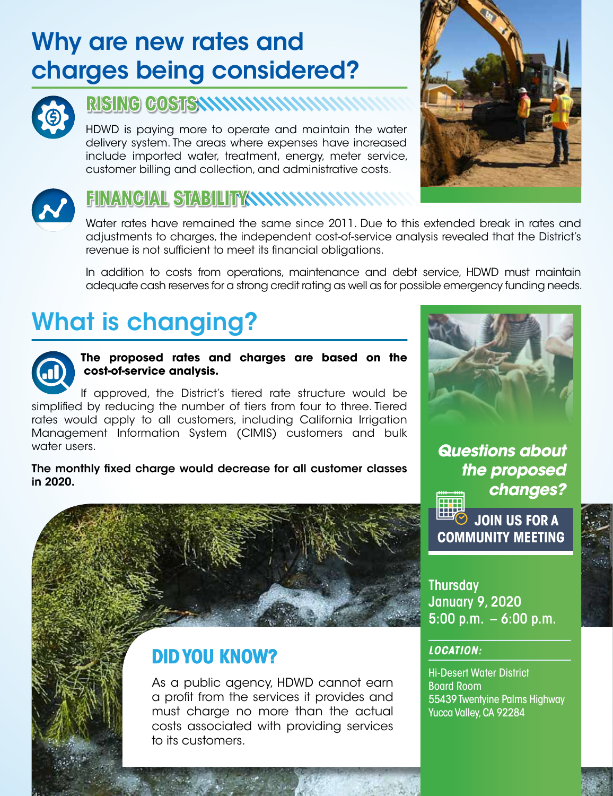# Why are new rates and charges being considered?



#### **RISING COSTS**

HDWD is paying more to operate and maintain the water delivery system. The areas where expenses have increased include imported water, treatment, energy, meter service, customer billing and collection, and administrative costs.





## **FINANCIAL STABILITY**

Water rates have remained the same since 2011. Due to this extended break in rates and adjustments to charges, the independent cost-of-service analysis revealed that the District's revenue is not sufficient to meet its financial obligations.

In addition to costs from operations, maintenance and debt service, HDWD must maintain adequate cash reserves for a strong credit rating as well as for possible emergency funding needs.

# What is changing?



**The proposed rates and charges are based on the cost-of-service analysis.**

If approved, the District's tiered rate structure would be simplifed by reducing the number of tiers from four to three. Tiered rates would apply to all customers, including California Irrigation Management Information System (CIMIS) customers and bulk water users.

The monthly fxed charge would decrease for all customer classes in 2020.



*Questions about the proposed changes?*  सस

**JOIN US FOR A COMMUNITY MEETING**



Thursday January 9, 2020 5:00 p.m.  $-6:00$  p.m.

#### *LOCATION:*

Hi-Desert Water District Board Room 55439 Twentyine Palms Highway Yucca Valley, CA 92284



As a public agency, HDWD cannot earn a proft from the services it provides and must charge no more than the actual costs associated with providing services to its customers.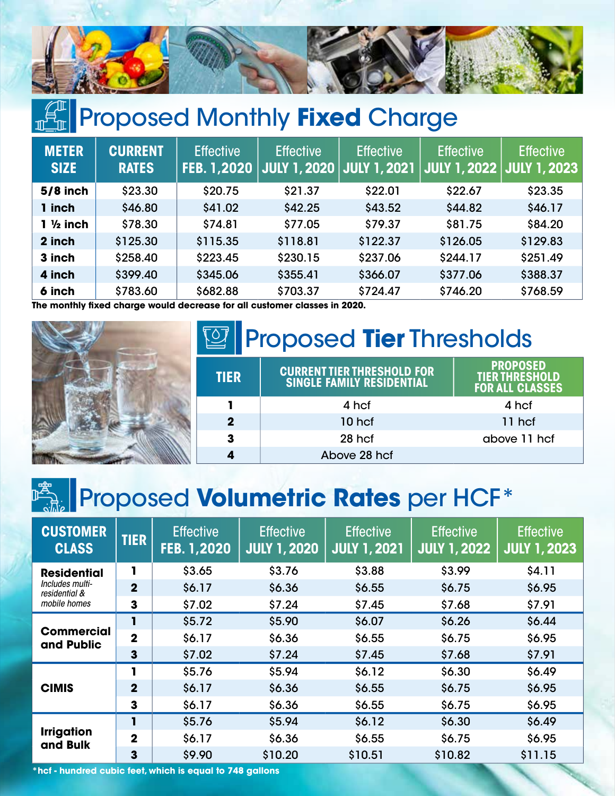

# **Proposed Monthly Fixed Charge**

| <b>METER</b><br><b>SIZE</b> | <b>CURRENT</b><br><b>RATES</b> | <b>Effective</b><br><b>FEB. 1,2020</b> | <b>Effective</b><br><b>JULY 1, 2020</b> | <b>Effective</b><br><u>  JU</u> LY 1, 2021 <sub>1</sub> | <b>Effective</b><br>JULY 1, 2022 | <b>Effective</b><br><b>JULY 1, 2023</b> |
|-----------------------------|--------------------------------|----------------------------------------|-----------------------------------------|---------------------------------------------------------|----------------------------------|-----------------------------------------|
| $5/8$ inch                  | \$23.30                        | \$20.75                                | \$21.37                                 | \$22.01                                                 | \$22.67                          | \$23.35                                 |
| 1 inch                      | \$46.80                        | \$41.02                                | \$42.25                                 | \$43.52                                                 | \$44.82                          | \$46.17                                 |
| $1 \frac{1}{2}$ inch        | \$78.30                        | \$74.81                                | \$77.05                                 | \$79.37                                                 | \$81.75                          | \$84.20                                 |
| 2 inch                      | \$125.30                       | \$115.35                               | \$118.81                                | \$122.37                                                | \$126.05                         | \$129.83                                |
| 3 inch                      | \$258,40                       | \$223.45                               | \$230.15                                | \$237.06                                                | \$244.17                         | \$251.49                                |
| 4 inch                      | \$399.40                       | \$345.06                               | \$355.41                                | \$366.07                                                | \$377.06                         | \$388.37                                |
| 6 inch                      | \$783.60                       | \$682.88                               | \$703.37                                | \$724.47                                                | \$746.20                         | \$768.59                                |

**The monthly fxed charge would decrease for all customer classes in 2020.**



| <b>Proposed Tier Thresholds</b> |                                                                       |                                                                    |  |  |  |  |  |  |
|---------------------------------|-----------------------------------------------------------------------|--------------------------------------------------------------------|--|--|--|--|--|--|
| <b>TIER</b>                     | <b>CURRENT TIER THRESHOLD FOR</b><br><b>SINGLE FAMILY RESIDENTIAL</b> | <b>PROPOSED</b><br><b>TIER THRESHOLD</b><br><b>FOR ALL CLASSES</b> |  |  |  |  |  |  |
|                                 | 4 hcf                                                                 | 4 hcf                                                              |  |  |  |  |  |  |
| $\overline{\mathbf{2}}$         | 10 hcf                                                                | 11 hcf                                                             |  |  |  |  |  |  |
| 3                               | 28 hcf                                                                | above 11 hcf                                                       |  |  |  |  |  |  |
|                                 | Above 28 hcf                                                          |                                                                    |  |  |  |  |  |  |

# **Proposed Volumetric Rates per HCF\***

| <b>CUSTOMER</b><br><b>CLASS</b>                                        | <b>TIER</b>             | <b>Effective</b><br>FEB. 1,2020 | <b>Effective</b><br><b>JULY 1, 2020</b> | <b>Effective</b><br>JULY 1, 2021 | <b>Effective</b><br><b>JULY 1, 2022</b> | <b>Effective</b><br><b>JULY 1, 2023</b> |
|------------------------------------------------------------------------|-------------------------|---------------------------------|-----------------------------------------|----------------------------------|-----------------------------------------|-----------------------------------------|
| <b>Residential</b><br>Includes multi-<br>residential &<br>mobile homes | 1                       | \$3.65                          | \$3.76                                  | \$3.88                           | \$3.99                                  | \$4.11                                  |
|                                                                        | $\overline{2}$          | \$6.17                          | \$6.36                                  | \$6.55                           | \$6.75                                  | \$6.95                                  |
|                                                                        | 3                       | \$7.02                          | \$7.24                                  | \$7.45                           | \$7.68                                  | \$7.91                                  |
| <b>Commercial</b><br>and Public                                        |                         | \$5.72                          | \$5.90                                  | \$6.07                           | \$6.26                                  | \$6.44                                  |
|                                                                        | $\overline{\mathbf{2}}$ | \$6.17                          | \$6.36                                  | \$6.55                           | \$6.75                                  | \$6.95                                  |
|                                                                        | 3                       | \$7.02                          | \$7.24                                  | \$7.45                           | \$7.68                                  | \$7.91                                  |
|                                                                        | 1                       | \$5.76                          | \$5.94                                  | \$6.12                           | \$6.30                                  | \$6.49                                  |
| <b>CIMIS</b>                                                           | $\overline{\mathbf{2}}$ | \$6.17                          | \$6.36                                  | \$6.55                           | \$6.75                                  | \$6.95                                  |
|                                                                        | $\mathbf{3}$            | \$6.17                          | \$6.36                                  | \$6.55                           | \$6.75                                  | \$6.95                                  |
| <b>Irrigation</b><br>and Bulk                                          | 1                       | \$5.76                          | \$5.94                                  | \$6.12                           | \$6.30                                  | \$6.49                                  |
|                                                                        | $\overline{2}$          | \$6.17                          | \$6.36                                  | \$6.55                           | \$6.75                                  | \$6.95                                  |
|                                                                        | 3                       | \$9.90                          | \$10.20                                 | \$10.51                          | \$10.82                                 | \$11.15                                 |

**\*hcf - hundred cubic feet, which is equal to 748 gallons**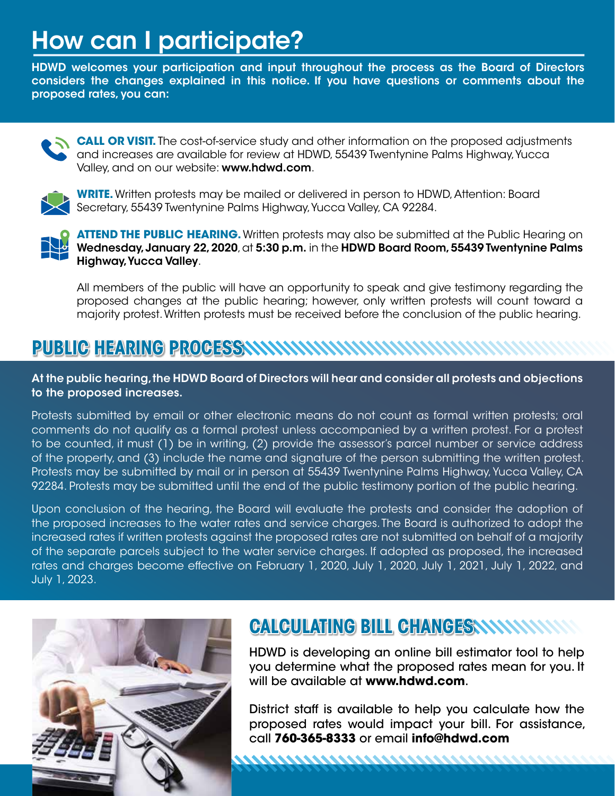# How can I participate?

HDWD welcomes your participation and input throughout the process as the Board of Directors considers the changes explained in this notice. If you have questions or comments about the proposed rates, you can:



**CALL OR VISIT.** The cost-of-service study and other information on the proposed adjustments and increases are available for review at HDWD, 55439 Twentynine Palms Highway, Yucca Valley, and on our website: www.hdwd.com.



**WRITE.** Written protests may be mailed or delivered in person to HDWD, Attention: Board Secretary, 55439 Twentynine Palms Highway, Yucca Valley, CA 92284.



**ATTEND THE PUBLIC HEARING.** Written protests may also be submitted at the Public Hearing on Wednesday, January 22, 2020, at 5:30 p.m. in the HDWD Board Room, 55439 Twentynine Palms Highway, Yucca Valley.

All members of the public will have an opportunity to speak and give testimony regarding the proposed changes at the public hearing; however, only written protests will count toward a majority protest. Written protests must be received before the conclusion of the public hearing.

#### **PUBLIC HEARING PROCESS**

At the public hearing, the HDWD Board of Directors will hear and consider all protests and objections to the proposed increases.

Protests submitted by email or other electronic means do not count as formal written protests; oral comments do not qualify as a formal protest unless accompanied by a written protest. For a protest to be counted, it must (1) be in writing, (2) provide the assessor's parcel number or service address of the property, and (3) include the name and signature of the person submitting the written protest. Protests may be submitted by mail or in person at 55439 Twentynine Palms Highway, Yucca Valley, CA 92284. Protests may be submitted until the end of the public testimony portion of the public hearing.

Upon conclusion of the hearing, the Board will evaluate the protests and consider the adoption of the proposed increases to the water rates and service charges. The Board is authorized to adopt the increased rates if written protests against the proposed rates are not submitted on behalf of a majority of the separate parcels subject to the water service charges. If adopted as proposed, the increased rates and charges become effective on February 1, 2020, July 1, 2020, July 1, 2021, July 1, 2022, and July 1, 2023.



#### **CALCULATING BILL CHANGESSSSOS**

HDWD is developing an online bill estimator tool to help you determine what the proposed rates mean for you. It will be available at **www.hdwd.com**.

District staff is available to help you calculate how the proposed rates would impact your bill. For assistance, call **760-365-8333** or email **info@hdwd.com**